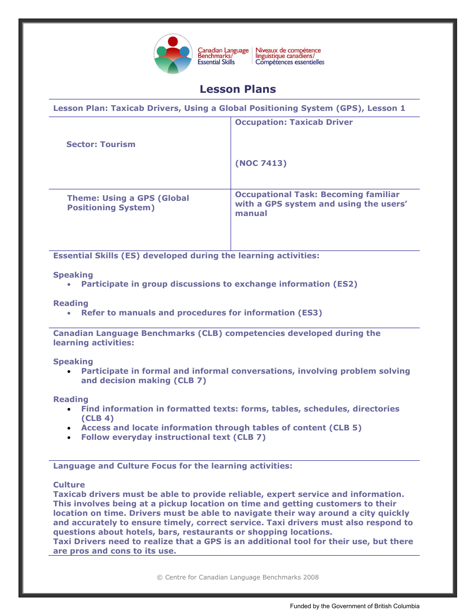

Niveaux de compétence<br>linguistique canadiens/ Canadian Language<br>Benchmarks/ Compétences essentielles

# **Lesson Plans**

**Lesson Plan: Taxicab Drivers, Using a Global Positioning System (GPS), Lesson 1 Sector: Tourism Occupation: Taxicab Driver (NOC 7413) Theme: Using a GPS (Global Positioning System) Occupational Task: Becoming familiar with a GPS system and using the users' manual**

**Essential Skills (ES) developed during the learning activities:** 

## **Speaking**

**Participate in group discussions to exchange information (ES2)**

## **Reading**

**Refer to manuals and procedures for information (ES3)**

**Canadian Language Benchmarks (CLB) competencies developed during the learning activities:**

### **Speaking**

 **Participate in formal and informal conversations, involving problem solving and decision making (CLB 7)**

### **Reading**

- **Find information in formatted texts: forms, tables, schedules, directories (CLB 4)**
- **Access and locate information through tables of content (CLB 5)**
- **Follow everyday instructional text (CLB 7)**

**Language and Culture Focus for the learning activities:**

## **Culture**

**Taxicab drivers must be able to provide reliable, expert service and information. This involves being at a pickup location on time and getting customers to their location on time. Drivers must be able to navigate their way around a city quickly and accurately to ensure timely, correct service. Taxi drivers must also respond to questions about hotels, bars, restaurants or shopping locations. Taxi Drivers need to realize that a GPS is an additional tool for their use, but there are pros and cons to its use.**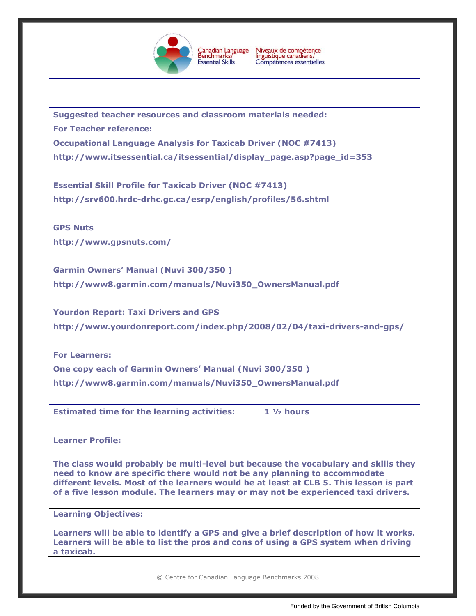

**Suggested teacher resources and classroom materials needed: For Teacher reference: Occupational Language Analysis for Taxicab Driver (NOC #7413) [http://www.itsessential.ca/itsessential/display\\_page.asp?page\\_id=353](http://www.itsessential.ca/itsessential/display_page.asp?page_id=353)**

**Essential Skill Profile for Taxicab Driver (NOC #7413) <http://srv600.hrdc-drhc.gc.ca/esrp/english/profiles/56.shtml>**

**GPS Nuts <http://www.gpsnuts.com/>**

**Garmin Owners' Manual (Nuvi 300/350 ) [http://www8.garmin.com/manuals/Nuvi350\\_OwnersManual.pdf](http://www8.garmin.com/manuals/Nuvi350_OwnersManual.pdf)**

**Yourdon Report: Taxi Drivers and GPS <http://www.yourdonreport.com/index.php/2008/02/04/taxi-drivers-and-gps/>**

**For Learners: One copy each of Garmin Owners' Manual (Nuvi 300/350 ) [http://www8.garmin.com/manuals/Nuvi350\\_OwnersManual.pdf](http://www8.garmin.com/manuals/Nuvi350_OwnersManual.pdf)**

**Estimated time for the learning activities: 1 ½ hours**

**Learner Profile:**

**The class would probably be multi-level but because the vocabulary and skills they need to know are specific there would not be any planning to accommodate different levels. Most of the learners would be at least at CLB 5. This lesson is part of a five lesson module. The learners may or may not be experienced taxi drivers.** 

**Learning Objectives:**

**Learners will be able to identify a GPS and give a brief description of how it works. Learners will be able to list the pros and cons of using a GPS system when driving a taxicab.**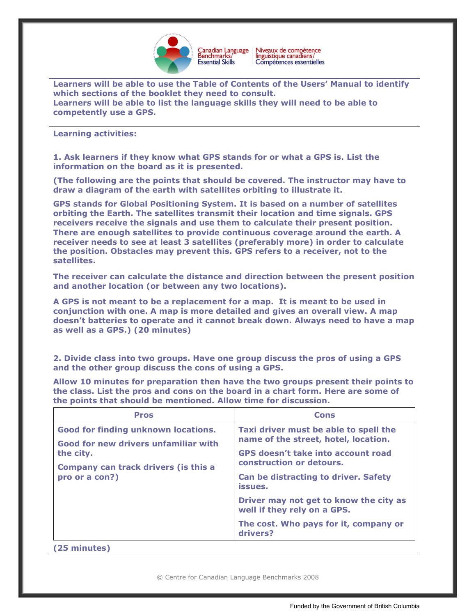

Canadian Language<br>Benchmarks/ Niveaux de compétence<br>linguistique canadiens/ Compétences essentielles

**Learners will be able to use the Table of Contents of the Users' Manual to identify which sections of the booklet they need to consult. Learners will be able to list the language skills they will need to be able to competently use a GPS.** 

#### **Learning activities:**

**1. Ask learners if they know what GPS stands for or what a GPS is. List the information on the board as it is presented.** 

**(The following are the points that should be covered. The instructor may have to draw a diagram of the earth with satellites orbiting to illustrate it.**

**GPS stands for Global Positioning System. It is based on a number of satellites orbiting the Earth. The satellites transmit their location and time signals. GPS receivers receive the signals and use them to calculate their present position. There are enough satellites to provide continuous coverage around the earth. A receiver needs to see at least 3 satellites (preferably more) in order to calculate the position. Obstacles may prevent this. GPS refers to a receiver, not to the satellites.** 

**The receiver can calculate the distance and direction between the present position and another location (or between any two locations).** 

**A GPS is not meant to be a replacement for a [map.](http://www.gpsnuts.com/myGPS/GPS/Tutorials/Maps/maps.htm#Topographic Maps) It is meant to be used in conjunction with one. A map is more detailed and gives an overall view. A map doesn't batteries to operate and it cannot break down. Always need to have a map as well as a GPS.) (20 minutes)**

**2. Divide class into two groups. Have one group discuss the pros of using a GPS and the other group discuss the cons of using a GPS.** 

**Allow 10 minutes for preparation then have the two groups present their points to the class. List the pros and cons on the board in a chart form. Here are some of the points that should be mentioned. Allow time for discussion.**

| <b>Pros</b>                                                                                                                                               | <b>Cons</b>                                                                                                                                                                                                                                                                                                                                    |
|-----------------------------------------------------------------------------------------------------------------------------------------------------------|------------------------------------------------------------------------------------------------------------------------------------------------------------------------------------------------------------------------------------------------------------------------------------------------------------------------------------------------|
| <b>Good for finding unknown locations.</b><br>Good for new drivers unfamiliar with<br>the city.<br>Company can track drivers (is this a<br>pro or a con?) | Taxi driver must be able to spell the<br>name of the street, hotel, location.<br><b>GPS doesn't take into account road</b><br>construction or detours.<br><b>Can be distracting to driver. Safety</b><br>issues.<br>Driver may not get to know the city as<br>well if they rely on a GPS.<br>The cost. Who pays for it, company or<br>drivers? |

**(25 minutes)**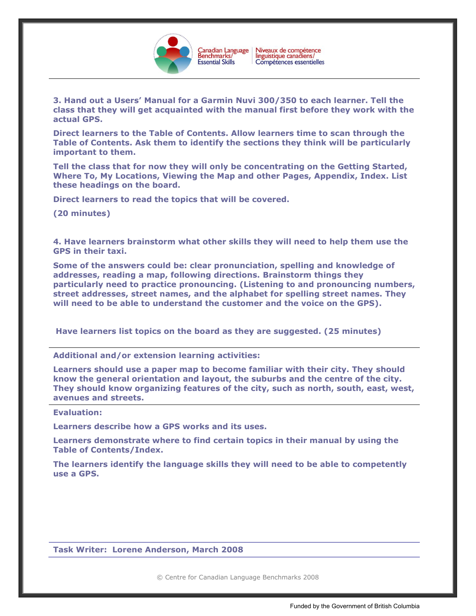

**3. Hand out a Users' Manual for a Garmin Nuvi 300/350 to each learner. Tell the class that they will get acquainted with the manual first before they work with the actual GPS.** 

**Direct learners to the Table of Contents. Allow learners time to scan through the Table of Contents. Ask them to identify the sections they think will be particularly important to them.**

**Tell the class that for now they will only be concentrating on the Getting Started, Where To, My Locations, Viewing the Map and other Pages, Appendix, Index. List these headings on the board.**

**Direct learners to read the topics that will be covered.**

**(20 minutes)**

**4. Have learners brainstorm what other skills they will need to help them use the GPS in their taxi.** 

**Some of the answers could be: clear pronunciation, spelling and knowledge of addresses, reading a map, following directions. Brainstorm things they particularly need to practice pronouncing. (Listening to and pronouncing numbers, street addresses, street names, and the alphabet for spelling street names. They will need to be able to understand the customer and the voice on the GPS).**

**Have learners list topics on the board as they are suggested. (25 minutes)**

**Additional and/or extension learning activities:**

**Learners should use a paper map to become familiar with their city. They should know the general orientation and layout, the suburbs and the centre of the city. They should know organizing features of the city, such as north, south, east, west, avenues and streets.** 

#### **Evaluation:**

**Learners describe how a GPS works and its uses.** 

**Learners demonstrate where to find certain topics in their manual by using the Table of Contents/Index.**

**The learners identify the language skills they will need to be able to competently use a GPS.** 

**Task Writer: Lorene Anderson, March 2008**